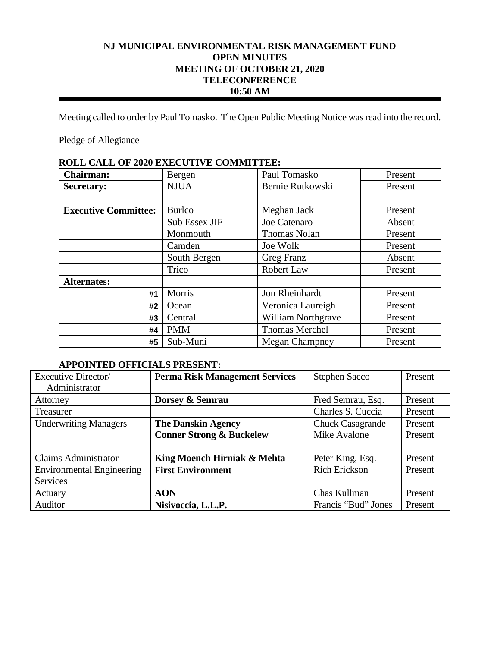# **NJ MUNICIPAL ENVIRONMENTAL RISK MANAGEMENT FUND OPEN MINUTES MEETING OF OCTOBER 21, 2020 TELECONFERENCE 10:50 AM**

Meeting called to order by Paul Tomasko. The Open Public Meeting Notice was read into the record.

Pledge of Allegiance

| ROLL CALL OF 2020 EAECOTIVE COMMITITEE. |               |                       |         |
|-----------------------------------------|---------------|-----------------------|---------|
| <b>Chairman:</b>                        | Bergen        | Paul Tomasko          | Present |
| <b>Secretary:</b>                       | <b>NJUA</b>   | Bernie Rutkowski      | Present |
|                                         |               |                       |         |
| <b>Executive Committee:</b>             | <b>Burlco</b> | Meghan Jack           | Present |
|                                         | Sub Essex JIF | Joe Catenaro          | Absent  |
|                                         | Monmouth      | <b>Thomas Nolan</b>   | Present |
|                                         | Camden        | Joe Wolk              | Present |
|                                         | South Bergen  | Greg Franz            | Absent  |
|                                         | Trico         | Robert Law            | Present |
| <b>Alternates:</b>                      |               |                       |         |
| #1                                      | Morris        | Jon Rheinhardt        | Present |
| #2                                      | Ocean         | Veronica Laureigh     | Present |
| #3                                      | Central       | William Northgrave    | Present |
| #4                                      | <b>PMM</b>    | <b>Thomas Merchel</b> | Present |
| #5                                      | Sub-Muni      | <b>Megan Champney</b> | Present |

# **ROLL CALL OF 2020 EXECUTIVE COMMITTEE:**

# **APPOINTED OFFICIALS PRESENT:**

| Executive Director/              | <b>Perma Risk Management Services</b> | <b>Stephen Sacco</b>    | Present |
|----------------------------------|---------------------------------------|-------------------------|---------|
| Administrator                    |                                       |                         |         |
| Attorney                         | Dorsey & Semrau                       | Fred Semrau, Esq.       | Present |
| Treasurer                        |                                       | Charles S. Cuccia       | Present |
| <b>Underwriting Managers</b>     | <b>The Danskin Agency</b>             | <b>Chuck Casagrande</b> | Present |
|                                  | <b>Conner Strong &amp; Buckelew</b>   | Mike Avalone            | Present |
|                                  |                                       |                         |         |
| <b>Claims Administrator</b>      | King Moench Hirniak & Mehta           | Peter King, Esq.        | Present |
| <b>Environmental Engineering</b> | <b>First Environment</b>              | <b>Rich Erickson</b>    | Present |
| Services                         |                                       |                         |         |
| Actuary                          | <b>AON</b>                            | Chas Kullman            | Present |
| Auditor                          | Nisivoccia, L.L.P.                    | Francis "Bud" Jones     | Present |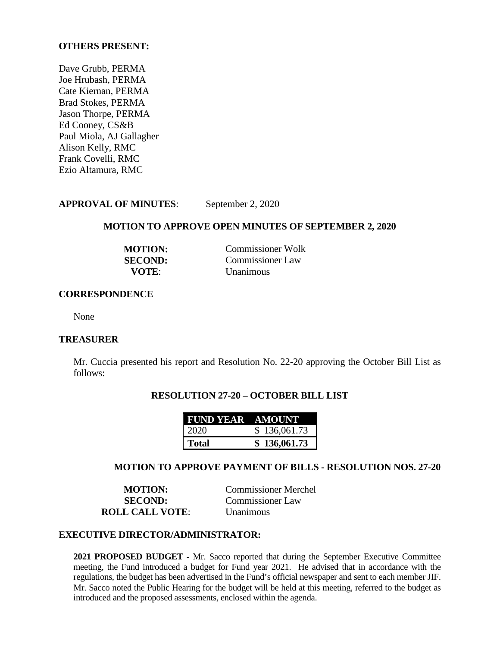## **OTHERS PRESENT:**

Dave Grubb, PERMA Joe Hrubash, PERMA Cate Kiernan, PERMA Brad Stokes, PERMA Jason Thorpe, PERMA Ed Cooney, CS&B Paul Miola, AJ Gallagher Alison Kelly, RMC Frank Covelli, RMC Ezio Altamura, RMC

# **APPROVAL OF MINUTES**: September 2, 2020

#### **MOTION TO APPROVE OPEN MINUTES OF SEPTEMBER 2, 2020**

| <b>MOTION:</b> | Commissioner Wolk |
|----------------|-------------------|
| <b>SECOND:</b> | Commissioner Law  |
| VOTE:          | <b>Unanimous</b>  |

#### **CORRESPONDENCE**

None

#### **TREASURER**

Mr. Cuccia presented his report and Resolution No. 22-20 approving the October Bill List as follows:

## **RESOLUTION 27-20 – OCTOBER BILL LIST**

| <b>FUND YEAR AMOUNT</b> |              |
|-------------------------|--------------|
| 2020                    | \$136,061.73 |
| Total                   | \$136,061.73 |

### **MOTION TO APPROVE PAYMENT OF BILLS - RESOLUTION NOS. 27-20**

**MOTION:** Commissioner Merchel **SECOND:** Commissioner Law **ROLL CALL VOTE**: Unanimous

## **EXECUTIVE DIRECTOR/ADMINISTRATOR:**

**2021 PROPOSED BUDGET -** Mr. Sacco reported that during the September Executive Committee meeting, the Fund introduced a budget for Fund year 2021. He advised that in accordance with the regulations, the budget has been advertised in the Fund's official newspaper and sent to each member JIF. Mr. Sacco noted the Public Hearing for the budget will be held at this meeting, referred to the budget as introduced and the proposed assessments, enclosed within the agenda.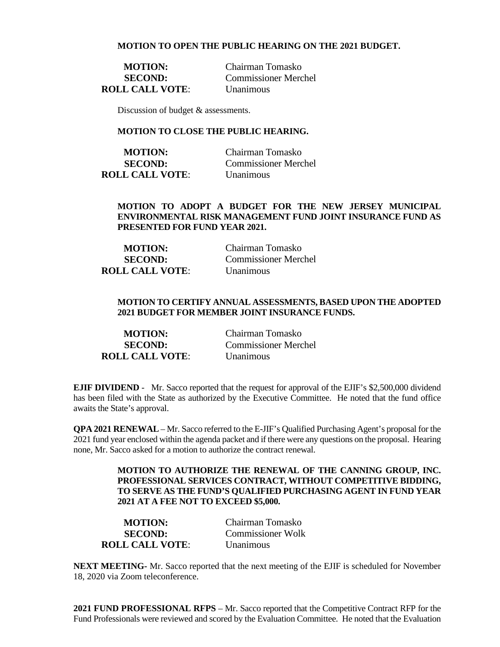#### **MOTION TO OPEN THE PUBLIC HEARING ON THE 2021 BUDGET.**

**ROLL CALL VOTE**: Unanimous

**MOTION:** Chairman Tomasko **SECOND:** Commissioner Merchel

Discussion of budget & assessments.

## **MOTION TO CLOSE THE PUBLIC HEARING.**

| <b>MOTION:</b>         | Chairman Tomasko            |
|------------------------|-----------------------------|
| <b>SECOND:</b>         | <b>Commissioner Merchel</b> |
| <b>ROLL CALL VOTE:</b> | <b>Unanimous</b>            |

#### **MOTION TO ADOPT A BUDGET FOR THE NEW JERSEY MUNICIPAL ENVIRONMENTAL RISK MANAGEMENT FUND JOINT INSURANCE FUND AS PRESENTED FOR FUND YEAR 2021.**

| <b>MOTION:</b>         | Chairman Tomasko            |
|------------------------|-----------------------------|
| <b>SECOND:</b>         | <b>Commissioner Merchel</b> |
| <b>ROLL CALL VOTE:</b> | <b>Unanimous</b>            |

### **MOTION TO CERTIFY ANNUAL ASSESSMENTS, BASED UPON THE ADOPTED 2021 BUDGET FOR MEMBER JOINT INSURANCE FUNDS.**

| <b>MOTION:</b>         | Chairman Tomasko            |
|------------------------|-----------------------------|
| <b>SECOND:</b>         | <b>Commissioner Merchel</b> |
| <b>ROLL CALL VOTE:</b> | <b>Unanimous</b>            |

**EJIF DIVIDEND** - Mr. Sacco reported that the request for approval of the EJIF's \$2,500,000 dividend has been filed with the State as authorized by the Executive Committee. He noted that the fund office awaits the State's approval.

**QPA 2021 RENEWAL** – Mr. Sacco referred to the E-JIF's Qualified Purchasing Agent's proposal for the 2021 fund year enclosed within the agenda packet and if there were any questions on the proposal. Hearing none, Mr. Sacco asked for a motion to authorize the contract renewal.

> **MOTION TO AUTHORIZE THE RENEWAL OF THE CANNING GROUP, INC. PROFESSIONAL SERVICES CONTRACT, WITHOUT COMPETITIVE BIDDING, TO SERVE AS THE FUND'S QUALIFIED PURCHASING AGENT IN FUND YEAR 2021 AT A FEE NOT TO EXCEED \$5,000.**

| <b>MOTION:</b>         | Chairman Tomasko         |
|------------------------|--------------------------|
| <b>SECOND:</b>         | <b>Commissioner Wolk</b> |
| <b>ROLL CALL VOTE:</b> | <b>Unanimous</b>         |

**NEXT MEETING-** Mr. Sacco reported that the next meeting of the EJIF is scheduled for November 18, 2020 via Zoom teleconference.

**2021 FUND PROFESSIONAL RFPS** – Mr. Sacco reported that the Competitive Contract RFP for the Fund Professionals were reviewed and scored by the Evaluation Committee. He noted that the Evaluation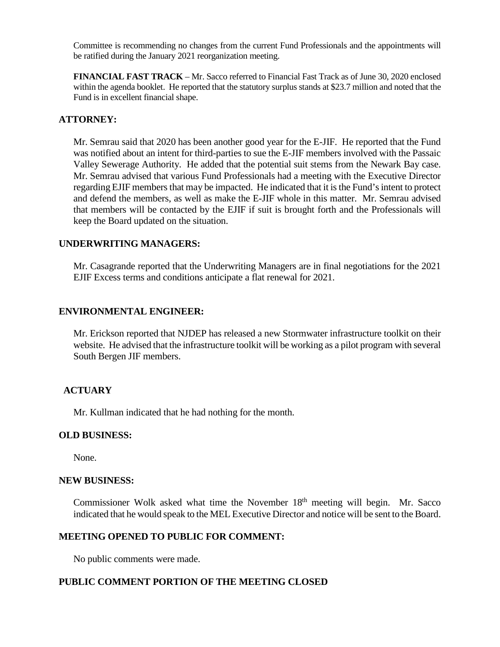Committee is recommending no changes from the current Fund Professionals and the appointments will be ratified during the January 2021 reorganization meeting.

**FINANCIAL FAST TRACK** – Mr. Sacco referred to Financial Fast Track as of June 30, 2020 enclosed within the agenda booklet. He reported that the statutory surplus stands at \$23.7 million and noted that the Fund is in excellent financial shape.

# **ATTORNEY:**

Mr. Semrau said that 2020 has been another good year for the E-JIF. He reported that the Fund was notified about an intent for third-parties to sue the E-JIF members involved with the Passaic Valley Sewerage Authority. He added that the potential suit stems from the Newark Bay case. Mr. Semrau advised that various Fund Professionals had a meeting with the Executive Director regarding EJIF members that may be impacted. He indicated that it is the Fund's intent to protect and defend the members, as well as make the E-JIF whole in this matter. Mr. Semrau advised that members will be contacted by the EJIF if suit is brought forth and the Professionals will keep the Board updated on the situation.

## **UNDERWRITING MANAGERS:**

Mr. Casagrande reported that the Underwriting Managers are in final negotiations for the 2021 EJIF Excess terms and conditions anticipate a flat renewal for 2021.

## **ENVIRONMENTAL ENGINEER:**

Mr. Erickson reported that NJDEP has released a new Stormwater infrastructure toolkit on their website. He advised that the infrastructure toolkit will be working as a pilot program with several South Bergen JIF members.

## **ACTUARY**

Mr. Kullman indicated that he had nothing for the month.

### **OLD BUSINESS:**

None.

### **NEW BUSINESS:**

Commissioner Wolk asked what time the November  $18<sup>th</sup>$  meeting will begin. Mr. Sacco indicated that he would speak to the MEL Executive Director and notice will be sent to the Board.

### **MEETING OPENED TO PUBLIC FOR COMMENT:**

No public comments were made.

## **PUBLIC COMMENT PORTION OF THE MEETING CLOSED**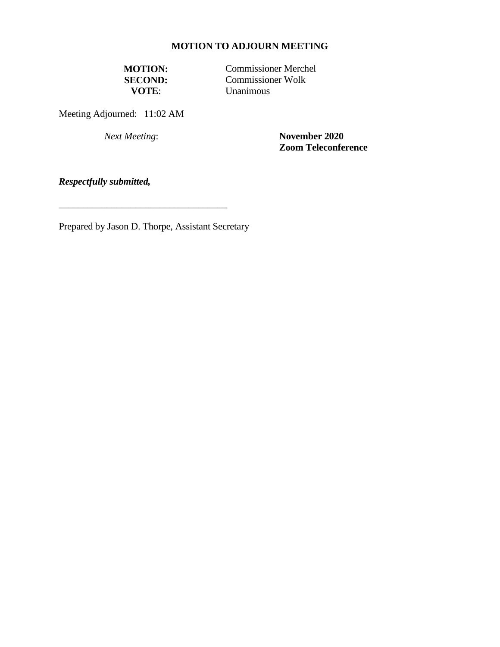# **MOTION TO ADJOURN MEETING**

**MOTION:** Commissioner Merchel<br>**SECOND:** Commissioner Wolk **SECOND:** Commissioner Wolk<br> **SECOND:** Unanimous **Unanimous** 

Meeting Adjourned: 11:02 AM

*Next Meeting*: **November 2020 Zoom Teleconference** 

*Respectfully submitted,*

Prepared by Jason D. Thorpe, Assistant Secretary

\_\_\_\_\_\_\_\_\_\_\_\_\_\_\_\_\_\_\_\_\_\_\_\_\_\_\_\_\_\_\_\_\_\_\_